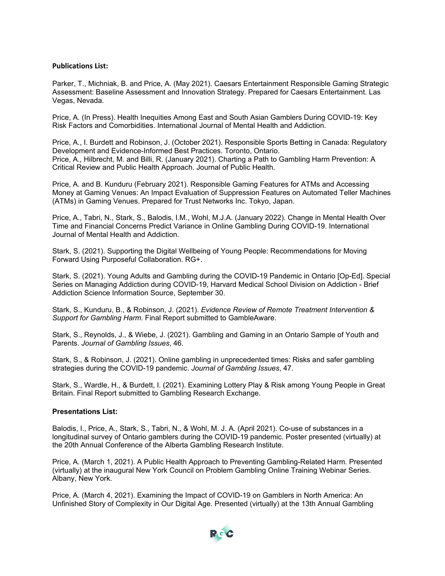## **Publications List:**

Parker, T., Michniak, B. and Price, A. (May 2021). Caesars Entertainment Responsible Gaming Strategic Assessment: Baseline Assessment and Innovation Strategy. Prepared for Caesars Entertainment. Las Vegas, Nevada.

Price, A. (In Press). Health Inequities Among East and South Asian Gamblers During COVID-19: Key Risk Factors and Comorbidities. International Journal of Mental Health and Addiction.

Price, A., I. Burdett and Robinson, J. (October 2021). Responsible Sports Betting in Canada: Regulatory Development and Evidence-Informed Best Practices. Toronto, Ontario. Price, A., Hilbrecht, M. and Billi, R. (January 2021). Charting a Path to Gambling Harm Prevention: A Critical Review and Public Health Approach. Journal of Public Health.

Price, A. and B. Kunduru (February 2021). Responsible Gaming Features for ATMs and Accessing Money at Gaming Venues: An Impact Evaluation of Suppression Features on Automated Teller Machines (ATMs) in Gaming Venues. Prepared for Trust Networks Inc. Tokyo, Japan.

Price, A., Tabri, N., Stark, S., Balodis, I.M., Wohl, M.J.A. (January 2022). Change in Mental Health Over Time and Financial Concerns Predict Variance in Online Gambling During COVID-19. International Journal of Mental Health and Addiction.

Stark, S. (2021). Supporting the Digital Wellbeing of Young People: Recommendations for Moving Forward Using Purposeful Collaboration. RG+.

Stark, S. (2021). Young Adults and Gambling during the COVID-19 Pandemic in Ontario [Op-Ed]. Special Series on Managing Addiction during COVID-19, Harvard Medical School Division on Addiction - Brief Addiction Science Information Source, September 30.

Stark, S., Kunduru, B., & Robinson, J. (2021). *Evidence Review of Remote Treatment Intervention & Support for Gambling Harm*. Final Report submitted to GambleAware.

Stark, S., Reynolds, J., & Wiebe, J. (2021). Gambling and Gaming in an Ontario Sample of Youth and Parents. *Journal of Gambling Issues*, 46.

Stark, S., & Robinson, J. (2021). Online gambling in unprecedented times: Risks and safer gambling strategies during the COVID-19 pandemic. *Journal of Gambling Issues*, 47.

Stark, S., Wardle, H., & Burdett, I. (2021). Examining Lottery Play & Risk among Young People in Great Britain. Final Report submitted to Gambling Research Exchange.

## **Presentations List:**

Balodis, I., Price, A., Stark, S., Tabri, N., & Wohl, M. J. A. (April 2021). Co-use of substances in a longitudinal survey of Ontario gamblers during the COVID-19 pandemic. Poster presented (virtually) at the 20th Annual Conference of the Alberta Gambling Research Institute.

Price, A. (March 1, 2021). A Public Health Approach to Preventing Gambling-Related Harm. Presented (virtually) at the inaugural New York Council on Problem Gambling Online Training Webinar Series. Albany, New York.

Price, A. (March 4, 2021). Examining the Impact of COVID-19 on Gamblers in North America: An Unfinished Story of Complexity in Our Digital Age. Presented (virtually) at the 13th Annual Gambling